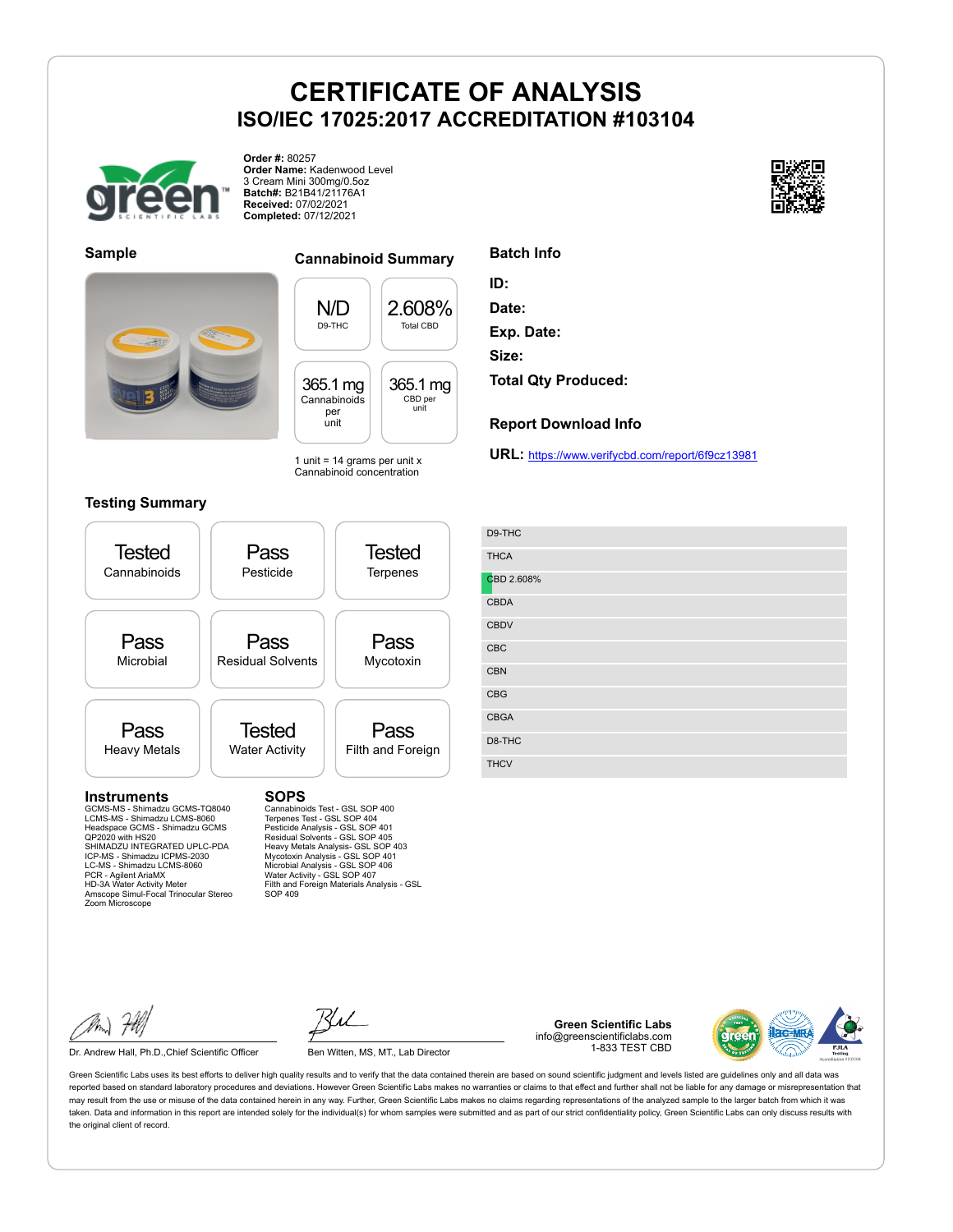

**Order #:** 80257 **Order Name:** Kadenwood Level 3 Cream Mini 300mg/0.5oz **Batch#:** B21B41/21176A1 **Received:** 07/02/2021 **Completed:** 07/12/2021





#### **Sample Cannabinoid Summary**

N/D D9-THC 2.608% Total CBD 365.1 mg Cannabinoids per unit 365.1 mg CBD per unit

1 unit =  $14$  grams per unit x Cannabinoid concentration

#### **Testing Summary**



SOP 409

**Exp. Date: Size: Total Qty Produced:**

**ID: Date:**

**Batch Info**

**Report Download Info**

**URL:** https://www.verifycbd.com/report/6f9cz13981

| D9-THC      |
|-------------|
| <b>THCA</b> |
| CBD 2.608%  |
| <b>CBDA</b> |
| <b>CBDV</b> |
| CBC         |
| <b>CBN</b>  |
| <b>CBG</b>  |
| <b>CBGA</b> |
| D8-THC      |
| <b>THCV</b> |

Dr. Andrew Hall, Ph.D., Chief Scientific Officer Ben Witten, MS, MT., Lab Director



**Green Scientific Labs** info@greenscientificlabs.com 1-833 TEST CBD

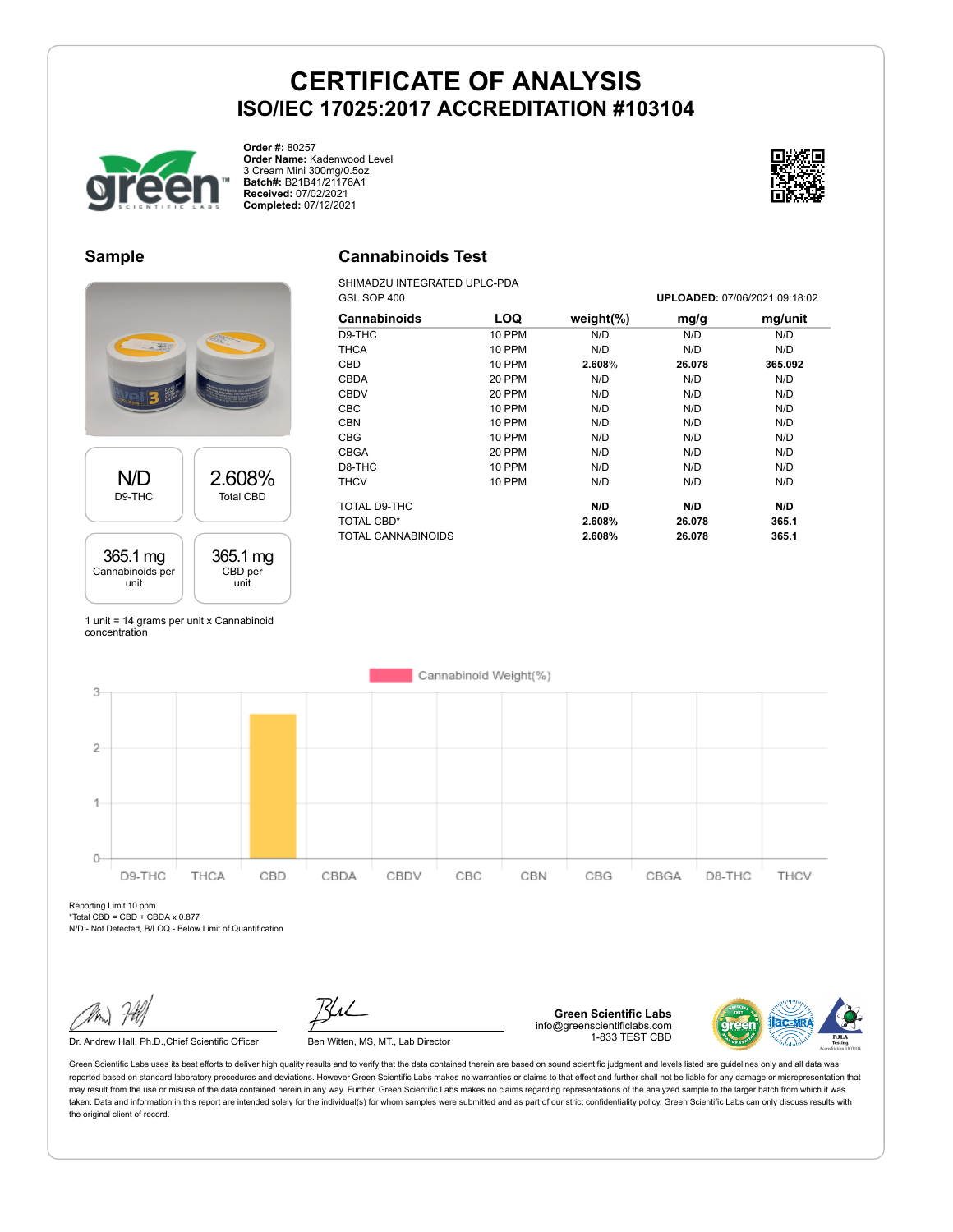

**Order #:** 80257 **Order Name:** Kadenwood Level 3 Cream Mini 300mg/0.5oz **Batch#:** B21B41/21176A1 **Received:** 07/02/2021 **Completed:** 07/12/2021



### **Sample**

# N/D D9-THC 2.608% Total CBD 365.1 mg Cannabinoids per unit 365.1 mg CBD per unit

1 unit = 14 grams per unit x Cannabinoid concentration

# **Cannabinoids Test**

SHIMADZU INTEGRATED UPLC-PDA GSL SOP 400 **UPLOADED:** 07/06/2021 09:18:02

| Cannabinoids       | <b>LOQ</b>    | weight $(\%)$ | mg/g   | mg/unit |
|--------------------|---------------|---------------|--------|---------|
| D9-THC             | 10 PPM        | N/D           | N/D    | N/D     |
| THCA               | <b>10 PPM</b> | N/D           | N/D    | N/D     |
| <b>CBD</b>         | <b>10 PPM</b> | 2.608%        | 26.078 | 365.092 |
| <b>CBDA</b>        | 20 PPM        | N/D           | N/D    | N/D     |
| <b>CBDV</b>        | 20 PPM        | N/D           | N/D    | N/D     |
| <b>CBC</b>         | <b>10 PPM</b> | N/D           | N/D    | N/D     |
| <b>CBN</b>         | 10 PPM        | N/D           | N/D    | N/D     |
| <b>CBG</b>         | <b>10 PPM</b> | N/D           | N/D    | N/D     |
| CBGA               | 20 PPM        | N/D           | N/D    | N/D     |
| D8-THC             | <b>10 PPM</b> | N/D           | N/D    | N/D     |
| THCV               | 10 PPM        | N/D           | N/D    | N/D     |
| TOTAL D9-THC       |               | N/D           | N/D    | N/D     |
| TOTAL CBD*         |               | 2.608%        | 26.078 | 365.1   |
| TOTAL CANNABINOIDS |               | 2.608%        | 26.078 | 365.1   |



Reporting Limit 10 ppm  $*Total CBD = CBD + CBDA \times 0.877$ 

N/D - Not Detected, B/LOQ - Below Limit of Quantification

Dr. Andrew Hall, Ph.D., Chief Scientific Officer Ben Witten, MS, MT., Lab Director

**Green Scientific Labs** info@greenscientificlabs.com 1-833 TEST CBD

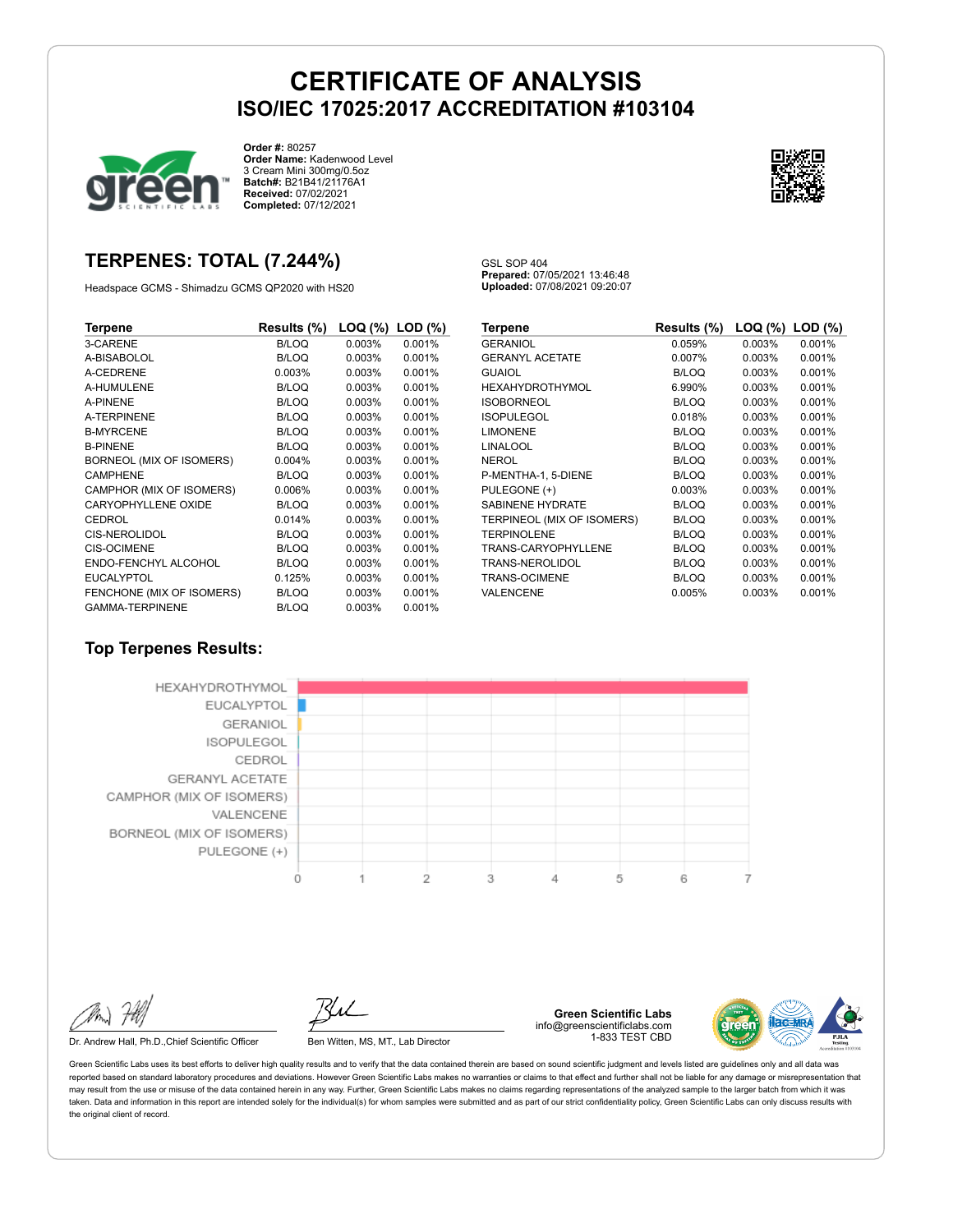

**Order #:** 80257 **Order Name:** Kadenwood Level 3 Cream Mini 300mg/0.5oz **Batch#:** B21B41/21176A1 **Received:** 07/02/2021 **Completed:** 07/12/2021



### **TERPENES: TOTAL (7.244%)**

Headspace GCMS - Shimadzu GCMS QP2020 with HS20

GSL SOP 404 **Prepared:** 07/05/2021 13:46:48 **Uploaded:** 07/08/2021 09:20:07

| Terpene                   | Results (%)  | LOQ (%) | $LOD$ $(\%)$ |
|---------------------------|--------------|---------|--------------|
| 3-CARENE                  | <b>B/LOQ</b> | 0.003%  | 0.001%       |
| A-BISABOLOL               | B/LOQ        | 0.003%  | 0.001%       |
| A-CEDRENE                 | 0.003%       | 0.003%  | 0.001%       |
| A-HUMULENE                | <b>B/LOQ</b> | 0.003%  | 0.001%       |
| <b>A-PINENE</b>           | B/LOQ        | 0.003%  | 0.001%       |
| <b>A-TERPINENE</b>        | <b>B/LOQ</b> | 0.003%  | 0.001%       |
| <b>B-MYRCENE</b>          | <b>B/LOQ</b> | 0.003%  | 0.001%       |
| <b>B-PINENE</b>           | <b>B/LOQ</b> | 0.003%  | 0.001%       |
| BORNEOL (MIX OF ISOMERS)  | 0.004%       | 0.003%  | 0.001%       |
| <b>CAMPHENE</b>           | B/LOQ        | 0.003%  | 0.001%       |
| CAMPHOR (MIX OF ISOMERS)  | 0.006%       | 0.003%  | 0.001%       |
| CARYOPHYLLENE OXIDE       | B/LOQ        | 0.003%  | 0.001%       |
| CEDROL                    | 0.014%       | 0.003%  | 0.001%       |
| <b>CIS-NEROLIDOL</b>      | <b>B/LOQ</b> | 0.003%  | 0.001%       |
| <b>CIS-OCIMENE</b>        | <b>B/LOQ</b> | 0.003%  | 0.001%       |
| ENDO-FENCHYL ALCOHOL      | <b>B/LOQ</b> | 0.003%  | 0.001%       |
| <b>EUCALYPTOL</b>         | 0.125%       | 0.003%  | 0.001%       |
| FENCHONE (MIX OF ISOMERS) | <b>B/LOQ</b> | 0.003%  | 0.001%       |
| <b>GAMMA-TERPINENE</b>    | <b>B/LOQ</b> | 0.003%  | 0.001%       |

| Terpene                    | Results (%)  | LOQ (%) | $LOD$ $(\%)$ |
|----------------------------|--------------|---------|--------------|
| <b>GERANIOL</b>            | 0.059%       | 0.003%  | 0.001%       |
| <b>GERANYL ACETATE</b>     | 0.007%       | 0.003%  | 0.001%       |
| GUAIOL                     | <b>B/LOQ</b> | 0.003%  | 0.001%       |
| HEXAHYDROTHYMOL            | 6.990%       | 0.003%  | 0.001%       |
| <b>ISOBORNEOL</b>          | <b>B/LOQ</b> | 0.003%  | 0.001%       |
| <b>ISOPULEGOL</b>          | 0.018%       | 0.003%  | 0.001%       |
| <b>LIMONENE</b>            | <b>B/LOQ</b> | 0.003%  | 0.001%       |
| LINALOOL                   | <b>B/LOQ</b> | 0.003%  | 0.001%       |
| NEROL                      | <b>B/LOQ</b> | 0.003%  | 0.001%       |
| P-MENTHA-1, 5-DIENE        | <b>B/LOQ</b> | 0.003%  | 0.001%       |
| PULEGONE (+)               | 0.003%       | 0.003%  | 0.001%       |
| <b>SABINENE HYDRATE</b>    | <b>B/LOQ</b> | 0.003%  | 0.001%       |
| TERPINEOL (MIX OF ISOMERS) | <b>B/LOQ</b> | 0.003%  | 0.001%       |
| <b>TERPINOLENE</b>         | <b>B/LOQ</b> | 0.003%  | 0.001%       |
| TRANS-CARYOPHYLLENE        | <b>B/LOQ</b> | 0.003%  | 0.001%       |
| TRANS-NEROLIDOL            | <b>B/LOQ</b> | 0.003%  | 0.001%       |
| TRANS-OCIMENE              | <b>B/LOQ</b> | 0.003%  | 0.001%       |
| VALENCENE                  | 0.005%       | 0.003%  | 0.001%       |

#### **Top Terpenes Results:**



Dr. Andrew Hall, Ph.D., Chief Scientific Officer Ben Witten, MS, MT., Lab Director

**Green Scientific Labs** info@greenscientificlabs.com 1-833 TEST CBD

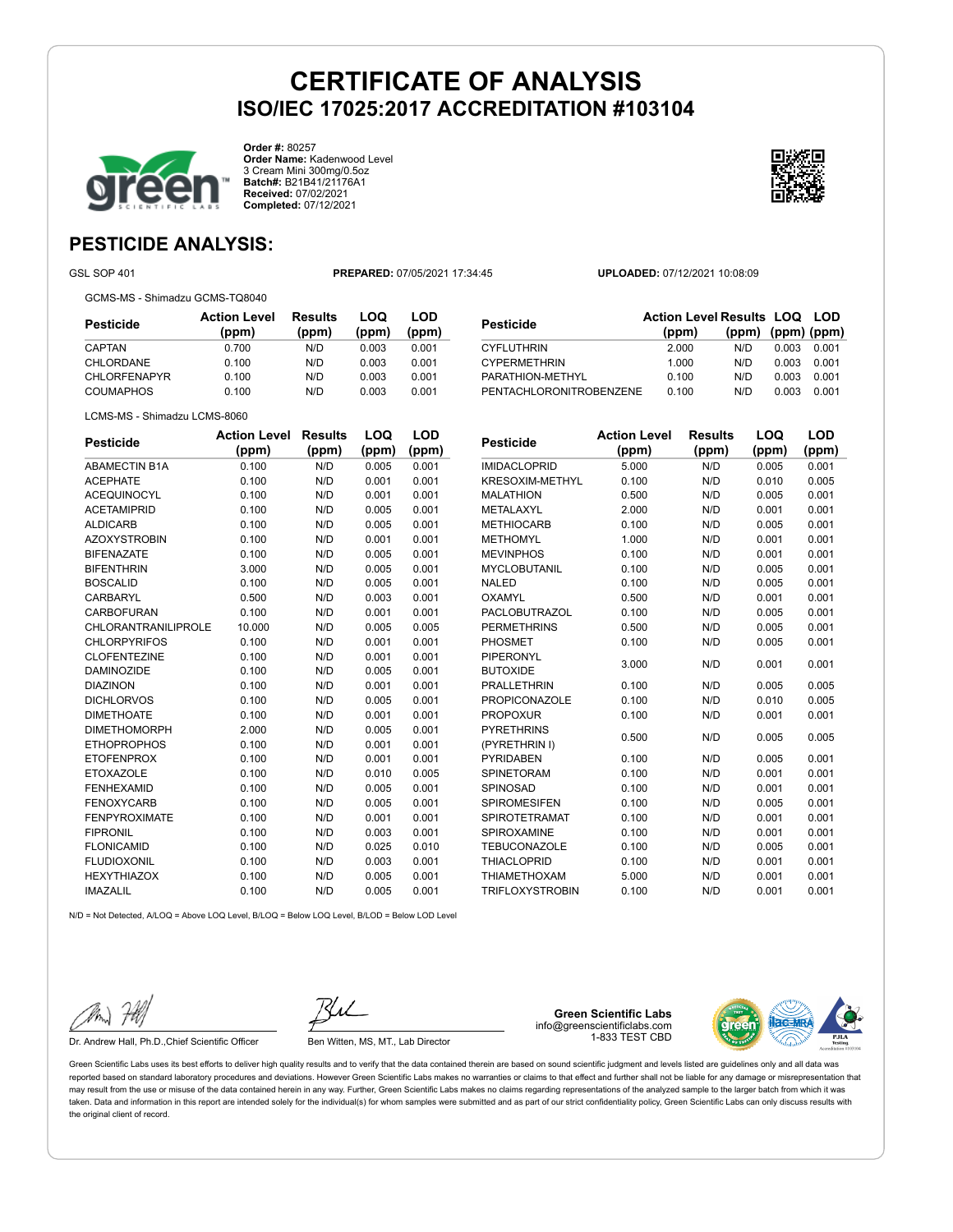

**Order #:** 80257 **Order Name:** Kadenwood Level 3 Cream Mini 300mg/0.5oz **Batch#:** B21B41/21176A1 **Received:** 07/02/2021 **Completed:** 07/12/2021



### **PESTICIDE ANALYSIS:**

GSL SOP 401 **PREPARED:** 07/05/2021 17:34:45 **UPLOADED:** 07/12/2021 10:08:09

GCMS-MS - Shimadzu GCMS-TQ8040

| Pesticide           | <b>Action Level</b><br>(ppm) | Results<br>(ppm) | LOQ<br>(ppm) | LOD<br>(ppm) |
|---------------------|------------------------------|------------------|--------------|--------------|
| CAPTAN              | 0.700                        | N/D              | 0.003        | 0.001        |
| CHLORDANE           | 0.100                        | N/D              | 0.003        | 0.001        |
| <b>CHLORFENAPYR</b> | 0.100                        | N/D              | 0.003        | 0.001        |
| <b>COUMAPHOS</b>    | 0.100                        | N/D              | 0.003        | 0.001        |

| Pesticide               | <b>Action Level Results LOQ LOD</b> |                         |       |       |
|-------------------------|-------------------------------------|-------------------------|-------|-------|
|                         | (ppm)                               | $(ppm)$ $(ppm)$ $(ppm)$ |       |       |
| CYFLUTHRIN              | 2.000                               | N/D                     | 0.003 | 0.001 |
| <b>CYPERMETHRIN</b>     | 1.000                               | N/D                     | 0.003 | 0.001 |
| PARATHION-METHYL        | 0.100                               | N/D                     | 0.003 | 0.001 |
| PENTACHLORONITROBENZENE | 0.100                               | N/D                     | 0.003 | 0.001 |
|                         |                                     |                         |       |       |

LCMS-MS - Shimadzu LCMS-8060

| <b>Pesticide</b>     | <b>Action Level</b> | <b>Results</b> | LOQ   | LOD   |
|----------------------|---------------------|----------------|-------|-------|
|                      | (ppm)               | (ppm)          | (ppm) | (ppm) |
| <b>ABAMECTIN B1A</b> | 0.100               | N/D            | 0.005 | 0.001 |
| <b>ACEPHATE</b>      | 0.100               | N/D            | 0.001 | 0.001 |
| <b>ACEQUINOCYL</b>   | 0.100               | N/D            | 0.001 | 0.001 |
| <b>ACETAMIPRID</b>   | 0.100               | N/D            | 0.005 | 0.001 |
| <b>ALDICARB</b>      | 0.100               | N/D            | 0.005 | 0.001 |
| <b>AZOXYSTROBIN</b>  | 0.100               | N/D            | 0.001 | 0.001 |
| <b>BIFENAZATE</b>    | 0.100               | N/D            | 0.005 | 0.001 |
| <b>BIFENTHRIN</b>    | 3.000               | N/D            | 0.005 | 0.001 |
| <b>BOSCALID</b>      | 0.100               | N/D            | 0.005 | 0.001 |
| CARBARYL             | 0.500               | N/D            | 0.003 | 0.001 |
| CARBOFURAN           | 0.100               | N/D            | 0.001 | 0.001 |
| CHLORANTRANILIPROLE  | 10.000              | N/D            | 0.005 | 0.005 |
| <b>CHLORPYRIFOS</b>  | 0.100               | N/D            | 0.001 | 0.001 |
| <b>CLOFENTEZINE</b>  | 0.100               | N/D            | 0.001 | 0.001 |
| <b>DAMINOZIDE</b>    | 0.100               | N/D            | 0.005 | 0.001 |
| <b>DIAZINON</b>      | 0.100               | N/D            | 0.001 | 0.001 |
| <b>DICHLORVOS</b>    | 0.100               | N/D            | 0.005 | 0.001 |
| <b>DIMETHOATE</b>    | 0.100               | N/D            | 0.001 | 0.001 |
| <b>DIMETHOMORPH</b>  | 2.000               | N/D            | 0.005 | 0.001 |
| <b>ETHOPROPHOS</b>   | 0.100               | N/D            | 0.001 | 0.001 |
| <b>ETOFENPROX</b>    | 0.100               | N/D            | 0.001 | 0.001 |
| <b>ETOXAZOLE</b>     | 0.100               | N/D            | 0.010 | 0.005 |
| <b>FENHEXAMID</b>    | 0.100               | N/D            | 0.005 | 0.001 |
| <b>FENOXYCARB</b>    | 0.100               | N/D            | 0.005 | 0.001 |
| <b>FENPYROXIMATE</b> | 0.100               | N/D            | 0.001 | 0.001 |
| <b>FIPRONIL</b>      | 0.100               | N/D            | 0.003 | 0.001 |
| <b>FLONICAMID</b>    | 0.100               | N/D            | 0.025 | 0.010 |
| <b>FLUDIOXONIL</b>   | 0.100               | N/D            | 0.003 | 0.001 |
| <b>HEXYTHIAZOX</b>   | 0.100               | N/D            | 0.005 | 0.001 |
| <b>IMAZALIL</b>      | 0.100               | N/D            | 0.005 | 0.001 |

| <b>Pesticide</b>       | <b>Action Level</b> | <b>Results</b> | LOQ   | LOD   |
|------------------------|---------------------|----------------|-------|-------|
|                        | (ppm)               | (ppm)          | (ppm) | (ppm) |
| <b>IMIDACLOPRID</b>    | 5.000               | N/D            | 0.005 | 0.001 |
| KRESOXIM-METHYL        | 0.100               | N/D            | 0.010 | 0.005 |
| <b>MALATHION</b>       | 0.500               | N/D            | 0.005 | 0.001 |
| METALAXYL              | 2.000               | N/D            | 0.001 | 0.001 |
| <b>METHIOCARB</b>      | 0.100               | N/D            | 0.005 | 0.001 |
| <b>METHOMYL</b>        | 1.000               | N/D            | 0.001 | 0.001 |
| <b>MEVINPHOS</b>       | 0.100               | N/D            | 0.001 | 0.001 |
| <b>MYCLOBUTANIL</b>    | 0.100               | N/D            | 0.005 | 0.001 |
| <b>NALED</b>           | 0.100               | N/D            | 0.005 | 0.001 |
| OXAMYL                 | 0.500               | N/D            | 0.001 | 0.001 |
| PACLOBUTRAZOL          | 0.100               | N/D            | 0.005 | 0.001 |
| <b>PERMETHRINS</b>     | 0.500               | N/D            | 0.005 | 0.001 |
| PHOSMET                | 0.100               | N/D            | 0.005 | 0.001 |
| <b>PIPERONYL</b>       | 3.000               | N/D            | 0.001 | 0.001 |
| <b>BUTOXIDE</b>        |                     |                |       |       |
| <b>PRALLETHRIN</b>     | 0.100               | N/D            | 0.005 | 0.005 |
| <b>PROPICONAZOLE</b>   | 0.100               | N/D            | 0.010 | 0.005 |
| <b>PROPOXUR</b>        | 0.100               | N/D            | 0.001 | 0.001 |
| <b>PYRETHRINS</b>      | 0.500               | N/D            | 0.005 | 0.005 |
| (PYRETHRIN I)          |                     |                |       |       |
| <b>PYRIDABEN</b>       | 0.100               | N/D            | 0.005 | 0.001 |
| <b>SPINETORAM</b>      | 0.100               | N/D            | 0.001 | 0.001 |
| <b>SPINOSAD</b>        | 0.100               | N/D            | 0.001 | 0.001 |
| <b>SPIROMESIFEN</b>    | 0.100               | N/D            | 0.005 | 0.001 |
| <b>SPIROTETRAMAT</b>   | 0.100               | N/D            | 0.001 | 0.001 |
| SPIROXAMINE            | 0.100               | N/D            | 0.001 | 0.001 |
| <b>TEBUCONAZOLE</b>    | 0.100               | N/D            | 0.005 | 0.001 |
| <b>THIACLOPRID</b>     | 0.100               | N/D            | 0.001 | 0.001 |
| <b>THIAMETHOXAM</b>    | 5.000               | N/D            | 0.001 | 0.001 |
| <b>TRIFLOXYSTROBIN</b> | 0.100               | N/D            | 0.001 | 0.001 |

N/D = Not Detected, A/LOQ = Above LOQ Level, B/LOQ = Below LOQ Level, B/LOD = Below LOD Level

Dr. Andrew Hall, Ph.D., Chief Scientific Officer Ben Witten, MS, MT., Lab Director

**Green Scientific Labs** info@greenscientificlabs.com 1-833 TEST CBD

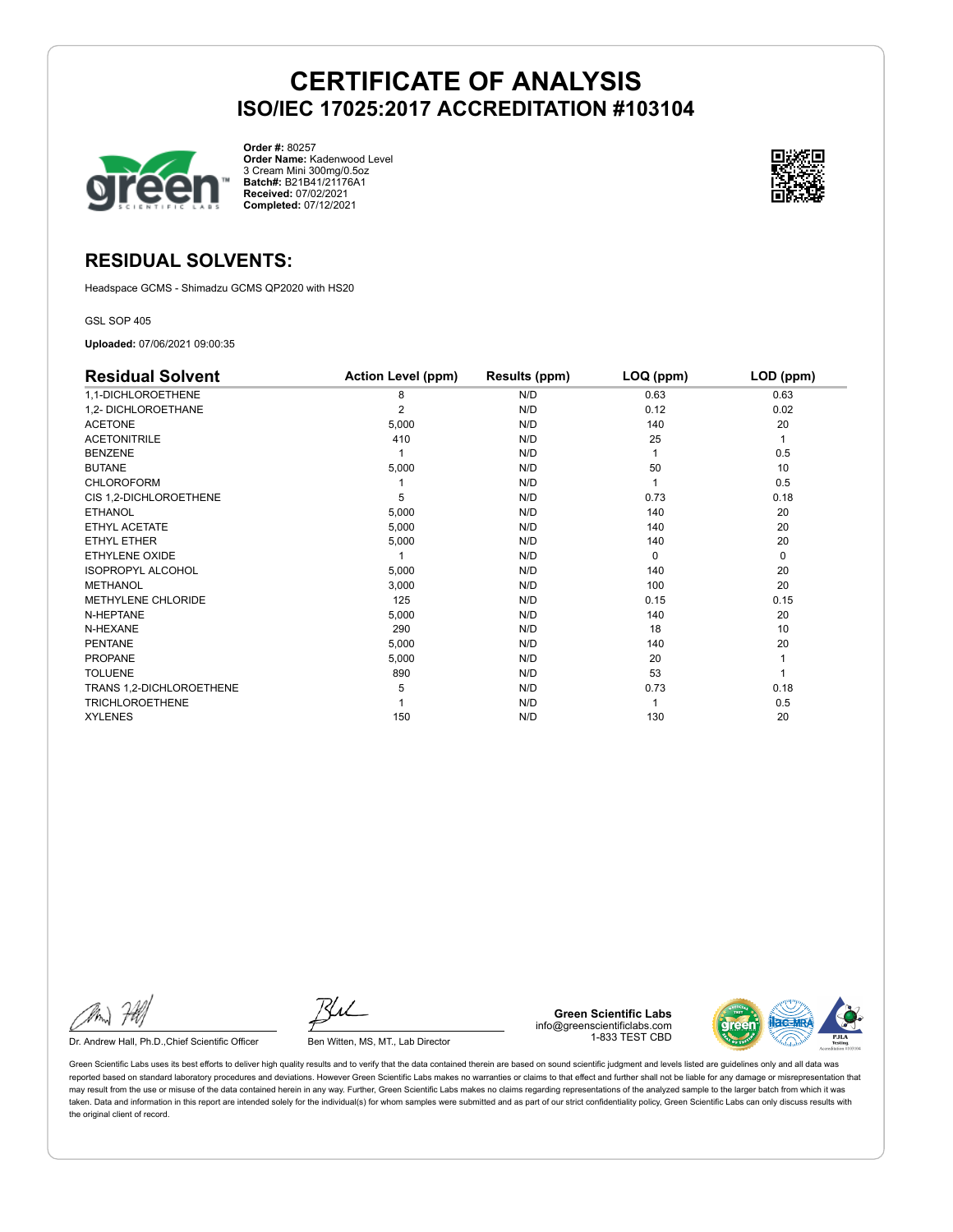

**Order #:** 80257 **Order Name:** Kadenwood Level 3 Cream Mini 300mg/0.5oz **Batch#:** B21B41/21176A1 **Received:** 07/02/2021 **Completed:** 07/12/2021



### **RESIDUAL SOLVENTS:**

Headspace GCMS - Shimadzu GCMS QP2020 with HS20

GSL SOP 405

**Uploaded:** 07/06/2021 09:00:35

| <b>Residual Solvent</b>  | <b>Action Level (ppm)</b> | Results (ppm) | LOQ (ppm) | LOD (ppm) |
|--------------------------|---------------------------|---------------|-----------|-----------|
| 1,1-DICHLOROETHENE       | 8                         | N/D           | 0.63      | 0.63      |
| 1,2- DICHLOROETHANE      | $\overline{2}$            | N/D           | 0.12      | 0.02      |
| <b>ACETONE</b>           | 5,000                     | N/D           | 140       | 20        |
| <b>ACETONITRILE</b>      | 410                       | N/D           | 25        | 1         |
| <b>BENZENE</b>           |                           | N/D           |           | 0.5       |
| <b>BUTANE</b>            | 5,000                     | N/D           | 50        | 10        |
| <b>CHLOROFORM</b>        |                           | N/D           |           | 0.5       |
| CIS 1,2-DICHLOROETHENE   | 5                         | N/D           | 0.73      | 0.18      |
| <b>ETHANOL</b>           | 5,000                     | N/D           | 140       | 20        |
| ETHYL ACETATE            | 5,000                     | N/D           | 140       | 20        |
| ETHYL ETHER              | 5,000                     | N/D           | 140       | 20        |
| ETHYLENE OXIDE           |                           | N/D           | $\Omega$  | 0         |
| <b>ISOPROPYL ALCOHOL</b> | 5,000                     | N/D           | 140       | 20        |
| <b>METHANOL</b>          | 3,000                     | N/D           | 100       | 20        |
| METHYLENE CHLORIDE       | 125                       | N/D           | 0.15      | 0.15      |
| N-HEPTANE                | 5,000                     | N/D           | 140       | 20        |
| N-HEXANE                 | 290                       | N/D           | 18        | 10        |
| <b>PENTANE</b>           | 5,000                     | N/D           | 140       | 20        |
| <b>PROPANE</b>           | 5,000                     | N/D           | 20        |           |
| <b>TOLUENE</b>           | 890                       | N/D           | 53        |           |
| TRANS 1,2-DICHLOROETHENE | 5                         | N/D           | 0.73      | 0.18      |
| <b>TRICHLOROETHENE</b>   |                           | N/D           |           | 0.5       |
| <b>XYLENES</b>           | 150                       | N/D           | 130       | 20        |

Dr. Andrew Hall, Ph.D., Chief Scientific Officer Ben Witten, MS, MT., Lab Director

**Green Scientific Labs** info@greenscientificlabs.com 1-833 TEST CBD

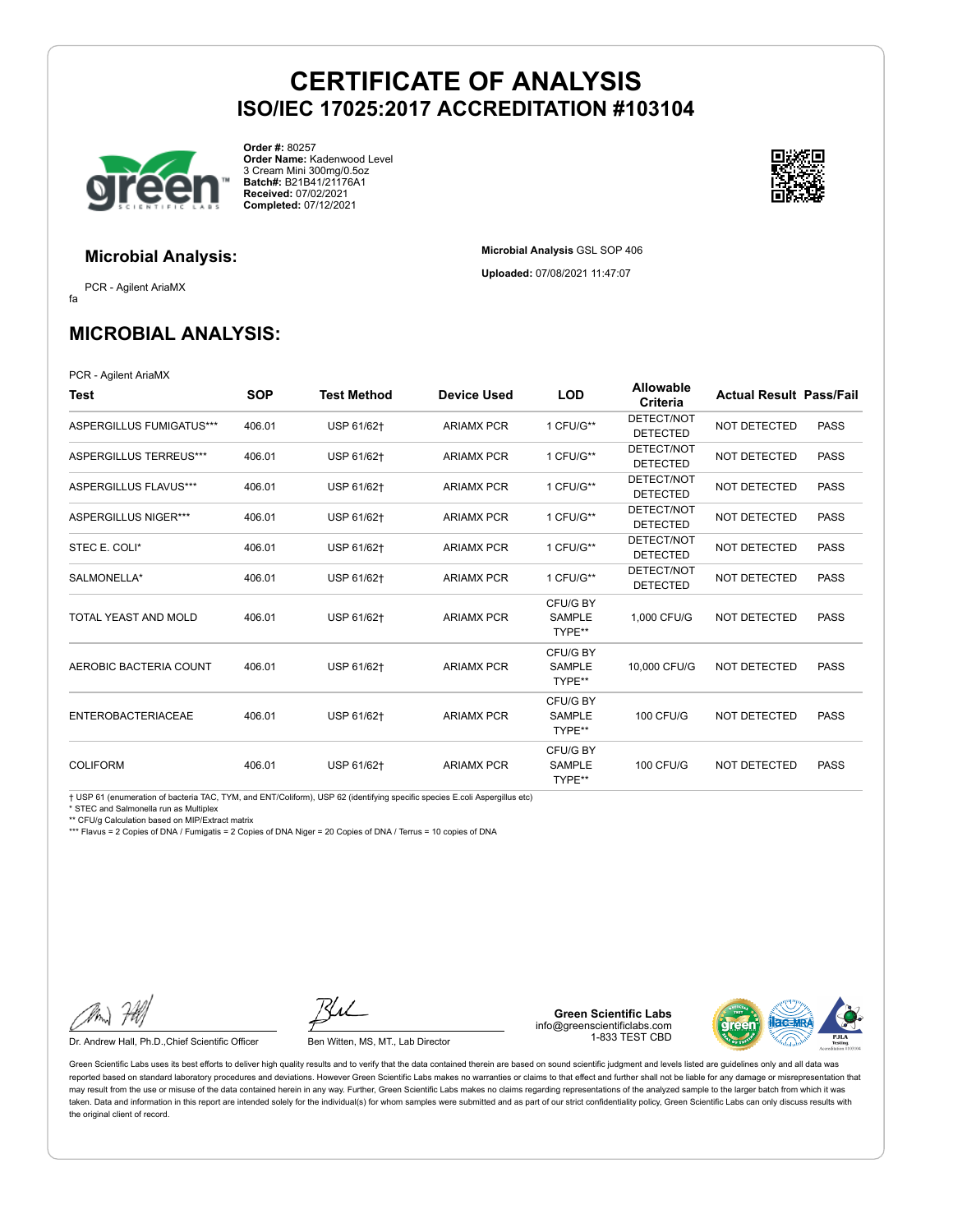**Microbial Analysis** GSL SOP 406 **Uploaded:** 07/08/2021 11:47:07



**Order #:** 80257 **Order Name:** Kadenwood Level 3 Cream Mini 300mg/0.5oz **Batch#:** B21B41/21176A1 **Received:** 07/02/2021 **Completed:** 07/12/2021



### **Microbial Analysis:**

fa PCR - Agilent AriaMX

**MICROBIAL ANALYSIS:**

PCR - Agilent AriaMX

| Test                        | <b>SOP</b> | Test Method | <b>Device Used</b> | <b>LOD</b>                          | <b>Allowable</b><br>Criteria  | <b>Actual Result Pass/Fail</b> |             |
|-----------------------------|------------|-------------|--------------------|-------------------------------------|-------------------------------|--------------------------------|-------------|
| ASPERGILLUS FUMIGATUS***    | 406.01     | USP 61/62+  | <b>ARIAMX PCR</b>  | 1 CFU/G**                           | DETECT/NOT<br><b>DETECTED</b> | <b>NOT DETECTED</b>            | <b>PASS</b> |
| ASPERGILLUS TERREUS***      | 406.01     | USP 61/62+  | <b>ARIAMX PCR</b>  | 1 CFU/G**                           | DETECT/NOT<br><b>DETECTED</b> | <b>NOT DETECTED</b>            | <b>PASS</b> |
| ASPERGILLUS FLAVUS***       | 406.01     | USP 61/62+  | <b>ARIAMX PCR</b>  | 1 CFU/G**                           | DETECT/NOT<br><b>DETECTED</b> | <b>NOT DETECTED</b>            | <b>PASS</b> |
| <b>ASPERGILLUS NIGER***</b> | 406.01     | USP 61/62+  | <b>ARIAMX PCR</b>  | 1 CFU/G**                           | DETECT/NOT<br><b>DETECTED</b> | <b>NOT DETECTED</b>            | <b>PASS</b> |
| STEC E. COLI*               | 406.01     | USP 61/62+  | <b>ARIAMX PCR</b>  | 1 CFU/G**                           | DETECT/NOT<br><b>DETECTED</b> | NOT DETECTED                   | <b>PASS</b> |
| SALMONELLA*                 | 406.01     | USP 61/62+  | <b>ARIAMX PCR</b>  | 1 CFU/G**                           | DETECT/NOT<br><b>DETECTED</b> | <b>NOT DETECTED</b>            | <b>PASS</b> |
| TOTAL YEAST AND MOLD        | 406.01     | USP 61/62+  | <b>ARIAMX PCR</b>  | CFU/G BY<br><b>SAMPLE</b><br>TYPE** | 1.000 CFU/G                   | <b>NOT DETECTED</b>            | <b>PASS</b> |
| AEROBIC BACTERIA COUNT      | 406.01     | USP 61/62+  | <b>ARIAMX PCR</b>  | CFU/G BY<br><b>SAMPLE</b><br>TYPE** | 10,000 CFU/G                  | <b>NOT DETECTED</b>            | <b>PASS</b> |
| <b>ENTEROBACTERIACEAE</b>   | 406.01     | USP 61/62+  | <b>ARIAMX PCR</b>  | CFU/G BY<br>SAMPLE<br>TYPE**        | <b>100 CFU/G</b>              | <b>NOT DETECTED</b>            | <b>PASS</b> |
| <b>COLIFORM</b>             | 406.01     | USP 61/62+  | <b>ARIAMX PCR</b>  | CFU/G BY<br><b>SAMPLE</b><br>TYPE** | <b>100 CFU/G</b>              | <b>NOT DETECTED</b>            | <b>PASS</b> |

† USP 61 (enumeration of bacteria TAC, TYM, and ENT/Coliform), USP 62 (identifying specific species E.coli Aspergillus etc)

\* STEC and Salmonella run as Multiplex

\*\* CFU/g Calculation based on MIP/Extract matrix

\*\*\* Flavus = 2 Copies of DNA / Fumigatis = 2 Copies of DNA Niger = 20 Copies of DNA / Terrus = 10 copies of DNA

Dr. Andrew Hall, Ph.D., Chief Scientific Officer Ben Witten, MS, MT., Lab Director

**Green Scientific Labs** info@greenscientificlabs.com 1-833 TEST CBD